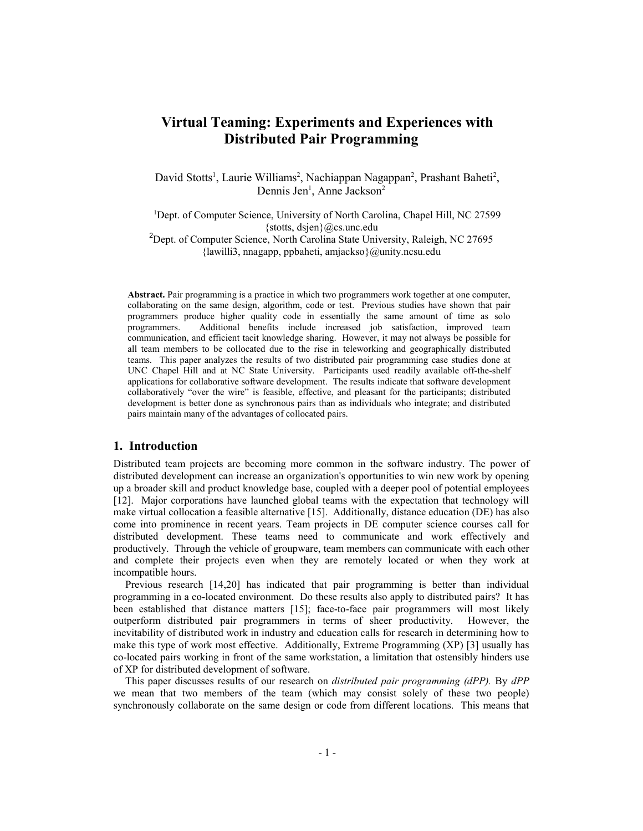# **Virtual Teaming: Experiments and Experiences with Distributed Pair Programming**

David Stotts<sup>1</sup>, Laurie Williams<sup>2</sup>, Nachiappan Nagappan<sup>2</sup>, Prashant Baheti<sup>2</sup>, Dennis Jen<sup>1</sup>, Anne Jackson<sup>2</sup>

<sup>1</sup>Dept. of Computer Science, University of North Carolina, Chapel Hill, NC 27599 {stotts, dsjen}@cs.unc.edu<br>
<sup>2</sup>Dept. of Computer Science, North Carolina State University, Raleigh, NC 27695<sup>2</sup> {lawilli3, nnagapp, ppbaheti, amjackso}@unity.ncsu.edu

**Abstract.** Pair programming is a practice in which two programmers work together at one computer, collaborating on the same design, algorithm, code or test. Previous studies have shown that pair programmers produce higher quality code in essentially the same amount of time as solo programmers. Additional benefits include increased job satisfaction, improved team communication, and efficient tacit knowledge sharing. However, it may not always be possible for all team members to be collocated due to the rise in teleworking and geographically distributed teams. This paper analyzes the results of two distributed pair programming case studies done at UNC Chapel Hill and at NC State University. Participants used readily available off-the-shelf applications for collaborative software development. The results indicate that software development collaboratively "over the wire" is feasible, effective, and pleasant for the participants; distributed development is better done as synchronous pairs than as individuals who integrate; and distributed pairs maintain many of the advantages of collocated pairs.

## **1. Introduction**

Distributed team projects are becoming more common in the software industry. The power of distributed development can increase an organization's opportunities to win new work by opening up a broader skill and product knowledge base, coupled with a deeper pool of potential employees [12]. Major corporations have launched global teams with the expectation that technology will make virtual collocation a feasible alternative [15]. Additionally, distance education (DE) has also come into prominence in recent years. Team projects in DE computer science courses call for distributed development. These teams need to communicate and work effectively and productively. Through the vehicle of groupware, team members can communicate with each other and complete their projects even when they are remotely located or when they work at incompatible hours.

Previous research [14,20] has indicated that pair programming is better than individual programming in a co-located environment. Do these results also apply to distributed pairs? It has been established that distance matters [15]; face-to-face pair programmers will most likely outperform distributed pair programmers in terms of sheer productivity. However, the inevitability of distributed work in industry and education calls for research in determining how to make this type of work most effective. Additionally, Extreme Programming (XP) [3] usually has co-located pairs working in front of the same workstation, a limitation that ostensibly hinders use of XP for distributed development of software.

This paper discusses results of our research on *distributed pair programming (dPP).* By *dPP* we mean that two members of the team (which may consist solely of these two people) synchronously collaborate on the same design or code from different locations. This means that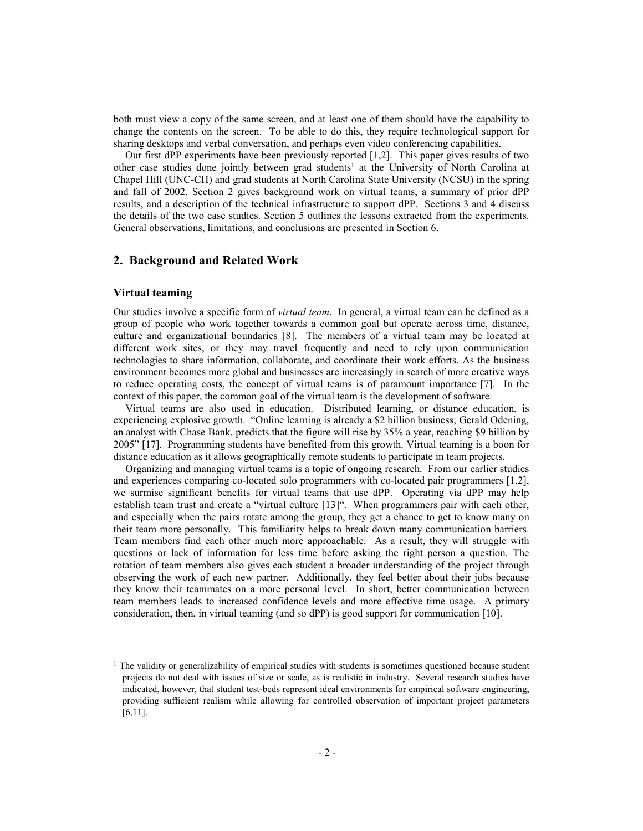both must view a copy of the same screen, and at least one of them should have the capability to change the contents on the screen. To be able to do this, they require technological support for sharing desktops and verbal conversation, and perhaps even video conferencing capabilities.

Our first dPP experiments have been previously reported [1,2]. This paper gives results of two other case studies done jointly between grad students<sup>1</sup> at the University of North Carolina at Chapel Hill (UNC-CH) and grad students at North Carolina State University (NCSU) in the spring and fall of 2002. Section 2 gives background work on virtual teams, a summary of prior dPP results, and a description of the technical infrastructure to support dPP. Sections 3 and 4 discuss the details of the two case studies. Section 5 outlines the lessons extracted from the experiments. General observations, limitations, and conclusions are presented in Section 6.

### **2. Background and Related Work**

#### **Virtual teaming**

l

Our studies involve a specific form of *virtual team*. In general, a virtual team can be defined as a group of people who work together towards a common goal but operate across time, distance, culture and organizational boundaries [8]. The members of a virtual team may be located at different work sites, or they may travel frequently and need to rely upon communication technologies to share information, collaborate, and coordinate their work efforts. As the business environment becomes more global and businesses are increasingly in search of more creative ways to reduce operating costs, the concept of virtual teams is of paramount importance [7]. In the context of this paper, the common goal of the virtual team is the development of software.

Virtual teams are also used in education. Distributed learning, or distance education, is experiencing explosive growth. "Online learning is already a \$2 billion business; Gerald Odening, an analyst with Chase Bank, predicts that the figure will rise by 35% a year, reaching \$9 billion by 2005î [17]. Programming students have benefited from this growth. Virtual teaming is a boon for distance education as it allows geographically remote students to participate in team projects.

Organizing and managing virtual teams is a topic of ongoing research. From our earlier studies and experiences comparing co-located solo programmers with co-located pair programmers [1,2], we surmise significant benefits for virtual teams that use dPP. Operating via dPP may help establish team trust and create a "virtual culture [13]". When programmers pair with each other, and especially when the pairs rotate among the group, they get a chance to get to know many on their team more personally. This familiarity helps to break down many communication barriers. Team members find each other much more approachable. As a result, they will struggle with questions or lack of information for less time before asking the right person a question. The rotation of team members also gives each student a broader understanding of the project through observing the work of each new partner. Additionally, they feel better about their jobs because they know their teammates on a more personal level. In short, better communication between team members leads to increased confidence levels and more effective time usage. A primary consideration, then, in virtual teaming (and so dPP) is good support for communication [10].

 $<sup>1</sup>$  The validity or generalizability of empirical studies with students is sometimes questioned because student</sup> projects do not deal with issues of size or scale, as is realistic in industry. Several research studies have indicated, however, that student test-beds represent ideal environments for empirical software engineering, providing sufficient realism while allowing for controlled observation of important project parameters [6,11].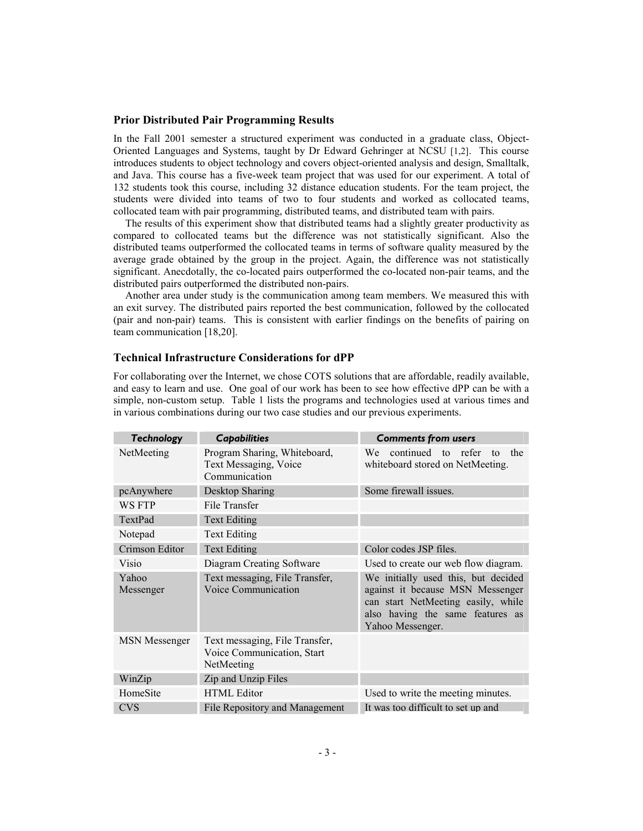#### **Prior Distributed Pair Programming Results**

In the Fall 2001 semester a structured experiment was conducted in a graduate class, Object-Oriented Languages and Systems, taught by Dr Edward Gehringer at NCSU [1,2]. This course introduces students to object technology and covers object-oriented analysis and design, Smalltalk, and Java. This course has a five-week team project that was used for our experiment. A total of 132 students took this course, including 32 distance education students. For the team project, the students were divided into teams of two to four students and worked as collocated teams, collocated team with pair programming, distributed teams, and distributed team with pairs.

The results of this experiment show that distributed teams had a slightly greater productivity as compared to collocated teams but the difference was not statistically significant. Also the distributed teams outperformed the collocated teams in terms of software quality measured by the average grade obtained by the group in the project. Again, the difference was not statistically significant. Anecdotally, the co-located pairs outperformed the co-located non-pair teams, and the distributed pairs outperformed the distributed non-pairs.

Another area under study is the communication among team members. We measured this with an exit survey. The distributed pairs reported the best communication, followed by the collocated (pair and non-pair) teams. This is consistent with earlier findings on the benefits of pairing on team communication [18,20].

#### **Technical Infrastructure Considerations for dPP**

For collaborating over the Internet, we chose COTS solutions that are affordable, readily available, and easy to learn and use. One goal of our work has been to see how effective dPP can be with a simple, non-custom setup. Table 1 lists the programs and technologies used at various times and in various combinations during our two case studies and our previous experiments.

| <b>Technology</b>  | <b>Capabilities</b>                                                        | <b>Comments from users</b>                                                                                                                                            |
|--------------------|----------------------------------------------------------------------------|-----------------------------------------------------------------------------------------------------------------------------------------------------------------------|
| NetMeeting         | Program Sharing, Whiteboard,<br>Text Messaging, Voice<br>Communication     | continued to refer<br>the<br>We<br>to<br>whiteboard stored on NetMeeting.                                                                                             |
| pcAnywhere         | Desktop Sharing                                                            | Some firewall issues.                                                                                                                                                 |
| WS FTP             | File Transfer                                                              |                                                                                                                                                                       |
| TextPad            | <b>Text Editing</b>                                                        |                                                                                                                                                                       |
| Notepad            | <b>Text Editing</b>                                                        |                                                                                                                                                                       |
| Crimson Editor     | <b>Text Editing</b>                                                        | Color codes JSP files.                                                                                                                                                |
| Visio              | Diagram Creating Software                                                  | Used to create our web flow diagram.                                                                                                                                  |
| Yahoo<br>Messenger | Text messaging, File Transfer,<br>Voice Communication                      | We initially used this, but decided<br>against it because MSN Messenger<br>can start NetMeeting easily, while<br>also having the same features as<br>Yahoo Messenger. |
| MSN Messenger      | Text messaging, File Transfer,<br>Voice Communication, Start<br>NetMeeting |                                                                                                                                                                       |
| WinZip             | Zip and Unzip Files                                                        |                                                                                                                                                                       |
| HomeSite           | HTML Editor                                                                | Used to write the meeting minutes.                                                                                                                                    |
| <b>CVS</b>         | File Repository and Management                                             | It was too difficult to set up and                                                                                                                                    |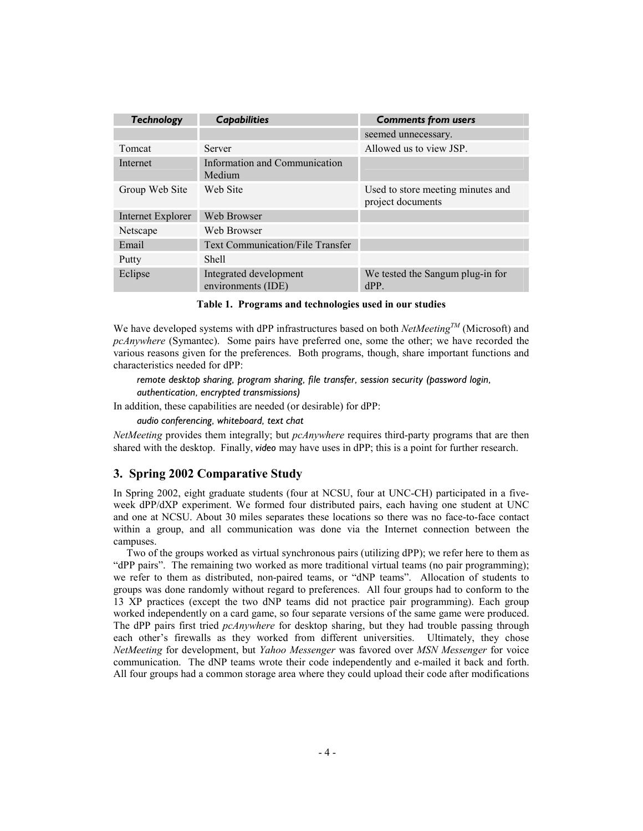| <b>Technology</b> | <b>Capabilities</b>                          | <b>Comments from users</b>                             |
|-------------------|----------------------------------------------|--------------------------------------------------------|
|                   |                                              | seemed unnecessary.                                    |
| Tomcat            | Server                                       | Allowed us to view JSP.                                |
| Internet          | Information and Communication<br>Medium      |                                                        |
| Group Web Site    | Web Site                                     | Used to store meeting minutes and<br>project documents |
| Internet Explorer | Web Browser                                  |                                                        |
| Netscape          | Web Browser                                  |                                                        |
| Email             | <b>Text Communication/File Transfer</b>      |                                                        |
| Putty             | <b>Shell</b>                                 |                                                        |
| Eclipse           | Integrated development<br>environments (IDE) | We tested the Sangum plug-in for<br>$dPP$ .            |

**Table 1. Programs and technologies used in our studies** 

We have developed systems with dPP infrastructures based on both *NetMeetingTM* (Microsoft) and *pcAnywhere* (Symantec). Some pairs have preferred one, some the other; we have recorded the various reasons given for the preferences. Both programs, though, share important functions and characteristics needed for dPP:

*remote desktop sharing, program sharing, file transfer, session security (password login, authentication, encrypted transmissions)* 

In addition, these capabilities are needed (or desirable) for dPP:

*audio conferencing, whiteboard, text chat* 

*NetMeeting* provides them integrally; but *pcAnywhere* requires third-party programs that are then shared with the desktop. Finally, *video* may have uses in dPP; this is a point for further research.

# **3. Spring 2002 Comparative Study**

In Spring 2002, eight graduate students (four at NCSU, four at UNC-CH) participated in a fiveweek dPP/dXP experiment. We formed four distributed pairs, each having one student at UNC and one at NCSU. About 30 miles separates these locations so there was no face-to-face contact within a group, and all communication was done via the Internet connection between the campuses.

 Two of the groups worked as virtual synchronous pairs (utilizing dPP); we refer here to them as ìdPP pairsî. The remaining two worked as more traditional virtual teams (no pair programming); we refer to them as distributed, non-paired teams, or "dNP teams". Allocation of students to groups was done randomly without regard to preferences. All four groups had to conform to the 13 XP practices (except the two dNP teams did not practice pair programming). Each group worked independently on a card game, so four separate versions of the same game were produced. The dPP pairs first tried *pcAnywhere* for desktop sharing, but they had trouble passing through each other's firewalls as they worked from different universities. Ultimately, they chose *NetMeeting* for development, but *Yahoo Messenger* was favored over *MSN Messenger* for voice communication. The dNP teams wrote their code independently and e-mailed it back and forth. All four groups had a common storage area where they could upload their code after modifications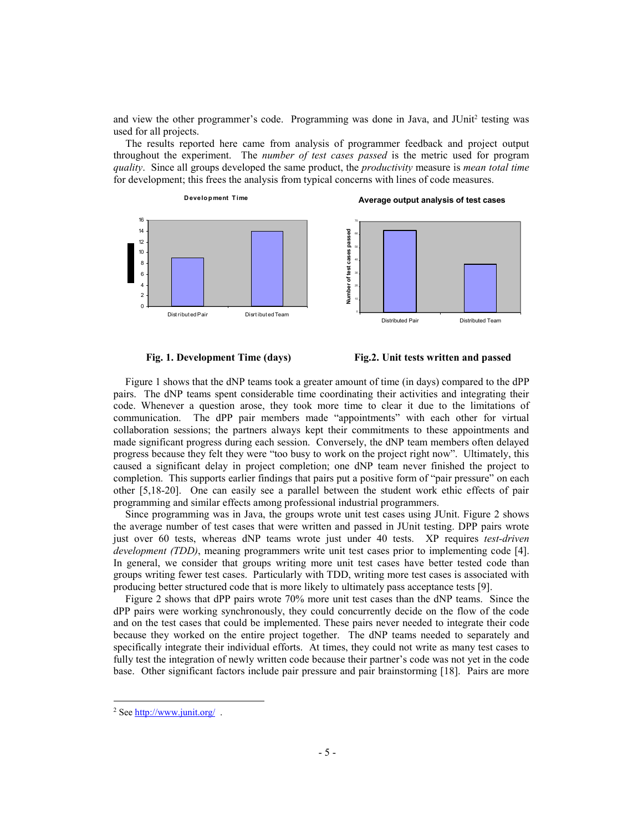and view the other programmer's code. Programming was done in Java, and JUnit<sup>2</sup> testing was used for all projects.

The results reported here came from analysis of programmer feedback and project output throughout the experiment. The *number of test cases passed* is the metric used for program *quality*. Since all groups developed the same product, the *productivity* measure is *mean total time* for development; this frees the analysis from typical concerns with lines of code measures.



 **Fig. 1. Development Time (days) Fig.2. Unit tests written and passed**

Figure 1 shows that the dNP teams took a greater amount of time (in days) compared to the dPP pairs. The dNP teams spent considerable time coordinating their activities and integrating their code. Whenever a question arose, they took more time to clear it due to the limitations of communication. The dPP pair members made "appointments" with each other for virtual collaboration sessions; the partners always kept their commitments to these appointments and made significant progress during each session. Conversely, the dNP team members often delayed progress because they felt they were "too busy to work on the project right now". Ultimately, this caused a significant delay in project completion; one dNP team never finished the project to completion. This supports earlier findings that pairs put a positive form of "pair pressure" on each other [5,18-20]. One can easily see a parallel between the student work ethic effects of pair programming and similar effects among professional industrial programmers.

Since programming was in Java, the groups wrote unit test cases using JUnit. Figure 2 shows the average number of test cases that were written and passed in JUnit testing. DPP pairs wrote just over 60 tests, whereas dNP teams wrote just under 40 tests. XP requires *test-driven development (TDD)*, meaning programmers write unit test cases prior to implementing code [4]. In general, we consider that groups writing more unit test cases have better tested code than groups writing fewer test cases. Particularly with TDD, writing more test cases is associated with producing better structured code that is more likely to ultimately pass acceptance tests [9].

Figure 2 shows that dPP pairs wrote 70% more unit test cases than the dNP teams. Since the dPP pairs were working synchronously, they could concurrently decide on the flow of the code and on the test cases that could be implemented. These pairs never needed to integrate their code because they worked on the entire project together. The dNP teams needed to separately and specifically integrate their individual efforts. At times, they could not write as many test cases to fully test the integration of newly written code because their partner's code was not yet in the code base. Other significant factors include pair pressure and pair brainstorming [18]. Pairs are more

 $\overline{a}$ 

<sup>2</sup> See http://www.junit.org/ .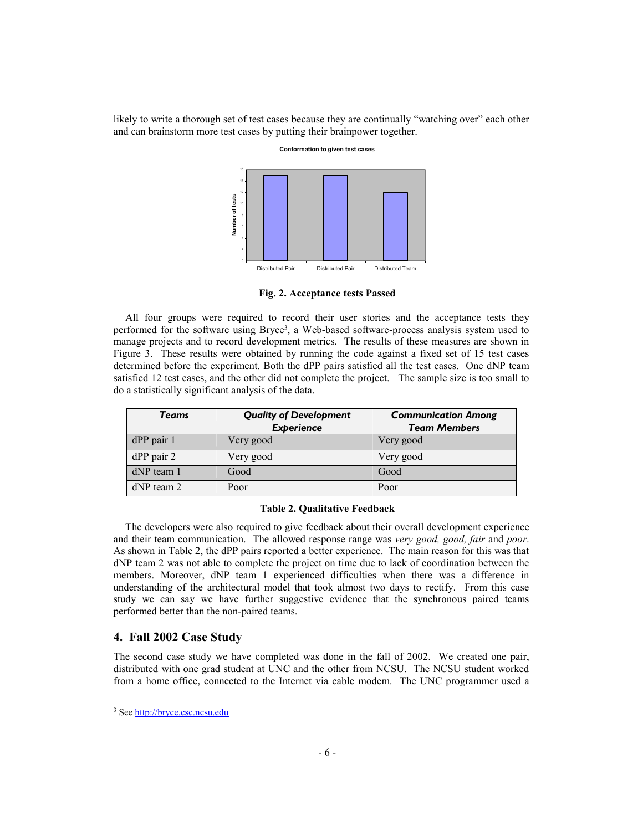likely to write a thorough set of test cases because they are continually "watching over" each other and can brainstorm more test cases by putting their brainpower together.



**Fig. 2. Acceptance tests Passed**

All four groups were required to record their user stories and the acceptance tests they performed for the software using Bryce3, a Web-based software-process analysis system used to manage projects and to record development metrics. The results of these measures are shown in Figure 3. These results were obtained by running the code against a fixed set of 15 test cases determined before the experiment. Both the dPP pairs satisfied all the test cases. One dNP team satisfied 12 test cases, and the other did not complete the project. The sample size is too small to do a statistically significant analysis of the data.

| <b>Teams</b>   | <b>Quality of Development</b><br><b>Experience</b> | <b>Communication Among</b><br><b>Team Members</b> |
|----------------|----------------------------------------------------|---------------------------------------------------|
| dPP pair 1     | Very good                                          | Very good                                         |
| $dPP$ pair 2   | Very good                                          | Very good                                         |
| $dNP$ team $1$ | Good                                               | Good                                              |
| $dNP$ team $2$ | Poor                                               | Poor                                              |

#### **Table 2. Qualitative Feedback**

The developers were also required to give feedback about their overall development experience and their team communication. The allowed response range was *very good, good, fair* and *poor*. As shown in Table 2, the dPP pairs reported a better experience. The main reason for this was that dNP team 2 was not able to complete the project on time due to lack of coordination between the members. Moreover, dNP team 1 experienced difficulties when there was a difference in understanding of the architectural model that took almost two days to rectify. From this case study we can say we have further suggestive evidence that the synchronous paired teams performed better than the non-paired teams.

## **4. Fall 2002 Case Study**

The second case study we have completed was done in the fall of 2002. We created one pair, distributed with one grad student at UNC and the other from NCSU. The NCSU student worked from a home office, connected to the Internet via cable modem. The UNC programmer used a

 $\overline{a}$ 

<sup>3</sup> See http://bryce.csc.ncsu.edu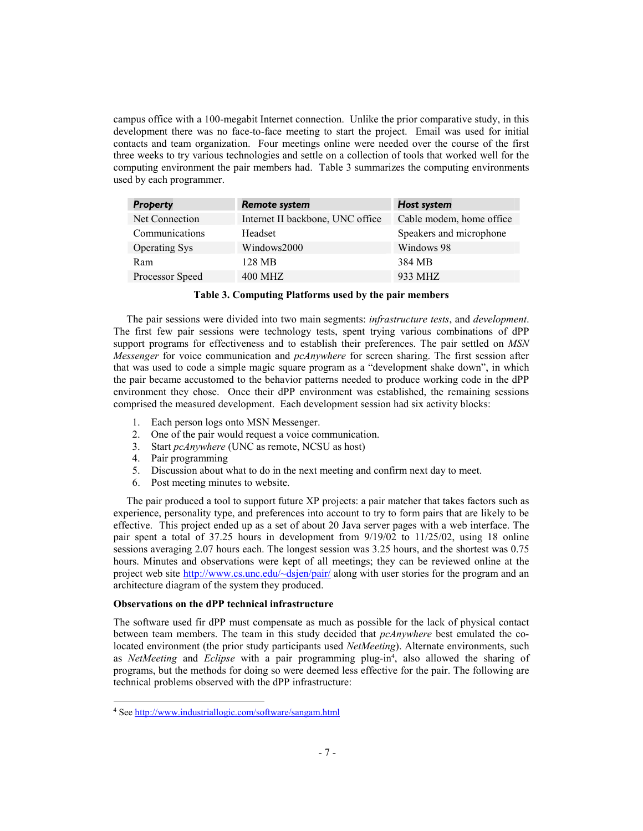campus office with a 100-megabit Internet connection. Unlike the prior comparative study, in this development there was no face-to-face meeting to start the project. Email was used for initial contacts and team organization. Four meetings online were needed over the course of the first three weeks to try various technologies and settle on a collection of tools that worked well for the computing environment the pair members had. Table 3 summarizes the computing environments used by each programmer.

| <b>Property</b>      | <b>Remote system</b>             | <b>Host system</b>       |
|----------------------|----------------------------------|--------------------------|
| Net Connection       | Internet II backbone, UNC office | Cable modem, home office |
| Communications       | Headset                          | Speakers and microphone  |
| <b>Operating Sys</b> | Windows2000                      | Windows 98               |
| Ram                  | 128 MB                           | 384 MB                   |
| Processor Speed      | <b>400 MHZ</b>                   | 933 MHZ                  |

**Table 3. Computing Platforms used by the pair members**

 The pair sessions were divided into two main segments: *infrastructure tests*, and *development*. The first few pair sessions were technology tests, spent trying various combinations of dPP support programs for effectiveness and to establish their preferences. The pair settled on *MSN Messenger* for voice communication and *pcAnywhere* for screen sharing. The first session after that was used to code a simple magic square program as a "development shake down", in which the pair became accustomed to the behavior patterns needed to produce working code in the dPP environment they chose. Once their dPP environment was established, the remaining sessions comprised the measured development. Each development session had six activity blocks:

- 1. Each person logs onto MSN Messenger.
- 2. One of the pair would request a voice communication.
- 3. Start *pcAnywhere* (UNC as remote, NCSU as host)
- 4. Pair programming

 $\overline{a}$ 

- 5. Discussion about what to do in the next meeting and confirm next day to meet.
- 6. Post meeting minutes to website.

 The pair produced a tool to support future XP projects: a pair matcher that takes factors such as experience, personality type, and preferences into account to try to form pairs that are likely to be effective. This project ended up as a set of about 20 Java server pages with a web interface. The pair spent a total of 37.25 hours in development from 9/19/02 to 11/25/02, using 18 online sessions averaging 2.07 hours each. The longest session was 3.25 hours, and the shortest was 0.75 hours. Minutes and observations were kept of all meetings; they can be reviewed online at the project web site http://www.cs.unc.edu/~dsjen/pair/ along with user stories for the program and an architecture diagram of the system they produced.

#### **Observations on the dPP technical infrastructure**

The software used fir dPP must compensate as much as possible for the lack of physical contact between team members. The team in this study decided that *pcAnywhere* best emulated the colocated environment (the prior study participants used *NetMeeting*). Alternate environments, such as *NetMeeting* and *Eclipse* with a pair programming plug-in<sup>4</sup>, also allowed the sharing of programs, but the methods for doing so were deemed less effective for the pair. The following are technical problems observed with the dPP infrastructure:

<sup>4</sup> See http://www.industriallogic.com/software/sangam.html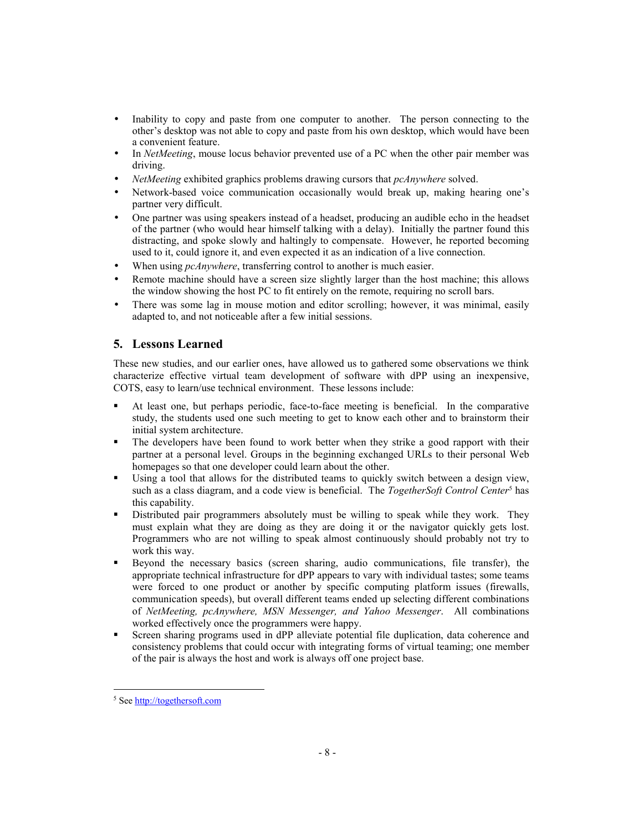- Inability to copy and paste from one computer to another. The person connecting to the other's desktop was not able to copy and paste from his own desktop, which would have been a convenient feature.
- In *NetMeeting*, mouse locus behavior prevented use of a PC when the other pair member was driving.
- *NetMeeting* exhibited graphics problems drawing cursors that *pcAnywhere* solved.
- Network-based voice communication occasionally would break up, making hearing one's partner very difficult.
- One partner was using speakers instead of a headset, producing an audible echo in the headset of the partner (who would hear himself talking with a delay). Initially the partner found this distracting, and spoke slowly and haltingly to compensate. However, he reported becoming used to it, could ignore it, and even expected it as an indication of a live connection.
- When using *pcAnywhere*, transferring control to another is much easier.
- Remote machine should have a screen size slightly larger than the host machine; this allows the window showing the host PC to fit entirely on the remote, requiring no scroll bars.
- There was some lag in mouse motion and editor scrolling; however, it was minimal, easily adapted to, and not noticeable after a few initial sessions.

# **5. Lessons Learned**

These new studies, and our earlier ones, have allowed us to gathered some observations we think characterize effective virtual team development of software with dPP using an inexpensive, COTS, easy to learn/use technical environment. These lessons include:

- - At least one, but perhaps periodic, face-to-face meeting is beneficial. In the comparative study, the students used one such meeting to get to know each other and to brainstorm their initial system architecture.
- - The developers have been found to work better when they strike a good rapport with their partner at a personal level. Groups in the beginning exchanged URLs to their personal Web homepages so that one developer could learn about the other.
- - Using a tool that allows for the distributed teams to quickly switch between a design view, such as a class diagram, and a code view is beneficial. The *TogetherSoft Control Center*<sup>5</sup> has this capability.
- - Distributed pair programmers absolutely must be willing to speak while they work. They must explain what they are doing as they are doing it or the navigator quickly gets lost. Programmers who are not willing to speak almost continuously should probably not try to work this way.
- - Beyond the necessary basics (screen sharing, audio communications, file transfer), the appropriate technical infrastructure for dPP appears to vary with individual tastes; some teams were forced to one product or another by specific computing platform issues (firewalls, communication speeds), but overall different teams ended up selecting different combinations of *NetMeeting, pcAnywhere, MSN Messenger, and Yahoo Messenger*. All combinations worked effectively once the programmers were happy.
- - Screen sharing programs used in dPP alleviate potential file duplication, data coherence and consistency problems that could occur with integrating forms of virtual teaming; one member of the pair is always the host and work is always off one project base.

l

<sup>5</sup> See http://togethersoft.com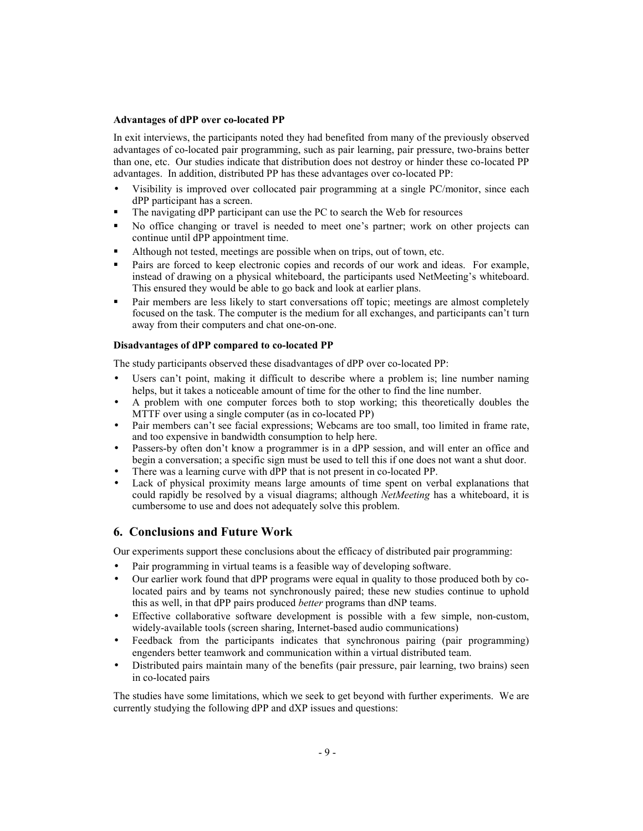#### **Advantages of dPP over co-located PP**

In exit interviews, the participants noted they had benefited from many of the previously observed advantages of co-located pair programming, such as pair learning, pair pressure, two-brains better than one, etc. Our studies indicate that distribution does not destroy or hinder these co-located PP advantages. In addition, distributed PP has these advantages over co-located PP:

- Visibility is improved over collocated pair programming at a single PC/monitor, since each dPP participant has a screen.
- -The navigating dPP participant can use the PC to search the Web for resources
- -No office changing or travel is needed to meet one's partner; work on other projects can continue until dPP appointment time.
- -Although not tested, meetings are possible when on trips, out of town, etc.
- - Pairs are forced to keep electronic copies and records of our work and ideas. For example, instead of drawing on a physical whiteboard, the participants used NetMeeting's whiteboard. This ensured they would be able to go back and look at earlier plans.
- - Pair members are less likely to start conversations off topic; meetings are almost completely focused on the task. The computer is the medium for all exchanges, and participants can't turn away from their computers and chat one-on-one.

#### **Disadvantages of dPP compared to co-located PP**

The study participants observed these disadvantages of dPP over co-located PP:

- Users can't point, making it difficult to describe where a problem is; line number naming helps, but it takes a noticeable amount of time for the other to find the line number.
- A problem with one computer forces both to stop working; this theoretically doubles the MTTF over using a single computer (as in co-located PP)
- Pair members can't see facial expressions; Webcams are too small, too limited in frame rate, and too expensive in bandwidth consumption to help here.
- Passers-by often don't know a programmer is in a dPP session, and will enter an office and begin a conversation; a specific sign must be used to tell this if one does not want a shut door.
- There was a learning curve with dPP that is not present in co-located PP.
- Lack of physical proximity means large amounts of time spent on verbal explanations that could rapidly be resolved by a visual diagrams; although *NetMeeting* has a whiteboard, it is cumbersome to use and does not adequately solve this problem.

## **6. Conclusions and Future Work**

Our experiments support these conclusions about the efficacy of distributed pair programming:

- Pair programming in virtual teams is a feasible way of developing software.
- Our earlier work found that dPP programs were equal in quality to those produced both by colocated pairs and by teams not synchronously paired; these new studies continue to uphold this as well, in that dPP pairs produced *better* programs than dNP teams.
- Effective collaborative software development is possible with a few simple, non-custom, widely-available tools (screen sharing, Internet-based audio communications)
- Feedback from the participants indicates that synchronous pairing (pair programming) engenders better teamwork and communication within a virtual distributed team.
- Distributed pairs maintain many of the benefits (pair pressure, pair learning, two brains) seen in co-located pairs

The studies have some limitations, which we seek to get beyond with further experiments. We are currently studying the following dPP and dXP issues and questions: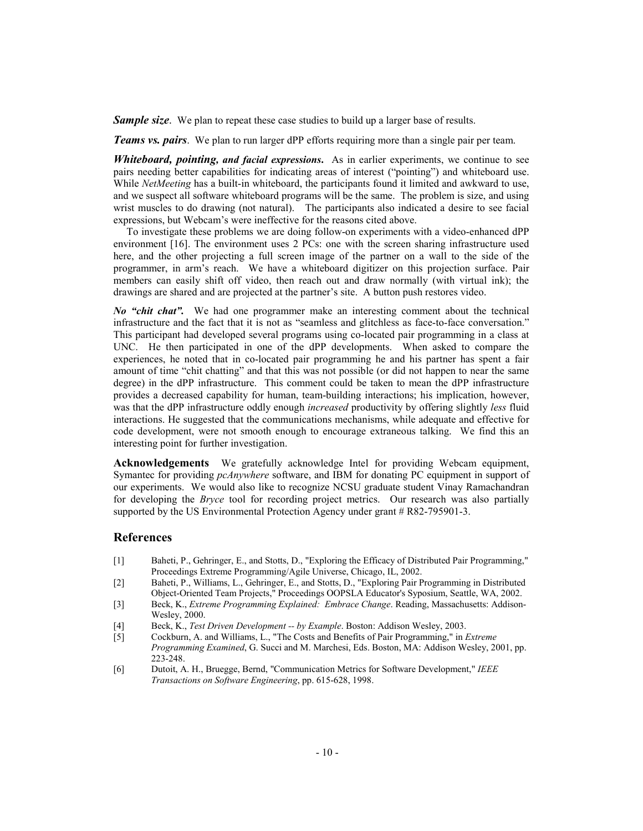*Sample size.* We plan to repeat these case studies to build up a larger base of results.

*Teams vs. pairs*. We plan to run larger dPP efforts requiring more than a single pair per team.

*Whiteboard, pointing, and facial expressions***.** As in earlier experiments, we continue to see pairs needing better capabilities for indicating areas of interest ("pointing") and whiteboard use. While *NetMeeting* has a built-in whiteboard, the participants found it limited and awkward to use, and we suspect all software whiteboard programs will be the same. The problem is size, and using wrist muscles to do drawing (not natural). The participants also indicated a desire to see facial expressions, but Webcam's were ineffective for the reasons cited above.

 To investigate these problems we are doing follow-on experiments with a video-enhanced dPP environment [16]. The environment uses 2 PCs: one with the screen sharing infrastructure used here, and the other projecting a full screen image of the partner on a wall to the side of the programmer, in armís reach. We have a whiteboard digitizer on this projection surface. Pair members can easily shift off video, then reach out and draw normally (with virtual ink); the drawings are shared and are projected at the partner's site. A button push restores video.

*No* "chit chat". We had one programmer make an interesting comment about the technical infrastructure and the fact that it is not as "seamless and glitchless as face-to-face conversation." This participant had developed several programs using co-located pair programming in a class at UNC. He then participated in one of the dPP developments. When asked to compare the experiences, he noted that in co-located pair programming he and his partner has spent a fair amount of time "chit chatting" and that this was not possible (or did not happen to near the same degree) in the dPP infrastructure. This comment could be taken to mean the dPP infrastructure provides a decreased capability for human, team-building interactions; his implication, however, was that the dPP infrastructure oddly enough *increased* productivity by offering slightly *less* fluid interactions. He suggested that the communications mechanisms, while adequate and effective for code development, were not smooth enough to encourage extraneous talking. We find this an interesting point for further investigation.

**Acknowledgements** We gratefully acknowledge Intel for providing Webcam equipment, Symantec for providing *pcAnywhere* software, and IBM for donating PC equipment in support of our experiments. We would also like to recognize NCSU graduate student Vinay Ramachandran for developing the *Bryce* tool for recording project metrics. Our research was also partially supported by the US Environmental Protection Agency under grant # R82-795901-3.

## **References**

- [1] Baheti, P., Gehringer, E., and Stotts, D., "Exploring the Efficacy of Distributed Pair Programming," Proceedings Extreme Programming/Agile Universe, Chicago, IL, 2002.
- [2] Baheti, P., Williams, L., Gehringer, E., and Stotts, D., "Exploring Pair Programming in Distributed Object-Oriented Team Projects," Proceedings OOPSLA Educator's Syposium, Seattle, WA, 2002.
- [3] Beck, K., *Extreme Programming Explained: Embrace Change*. Reading, Massachusetts: Addison-Wesley, 2000.
- [4] Beck, K., *Test Driven Development -- by Example*. Boston: Addison Wesley, 2003.<br>[5] Cockburn, A. and Williams, L., "The Costs and Benefits of Pair Programming," in *i*
- [5] Cockburn, A. and Williams, L., "The Costs and Benefits of Pair Programming," in *Extreme Programming Examined*, G. Succi and M. Marchesi, Eds. Boston, MA: Addison Wesley, 2001, pp. 223-248.
- [6] Dutoit, A. H., Bruegge, Bernd, "Communication Metrics for Software Development," *IEEE Transactions on Software Engineering*, pp. 615-628, 1998.